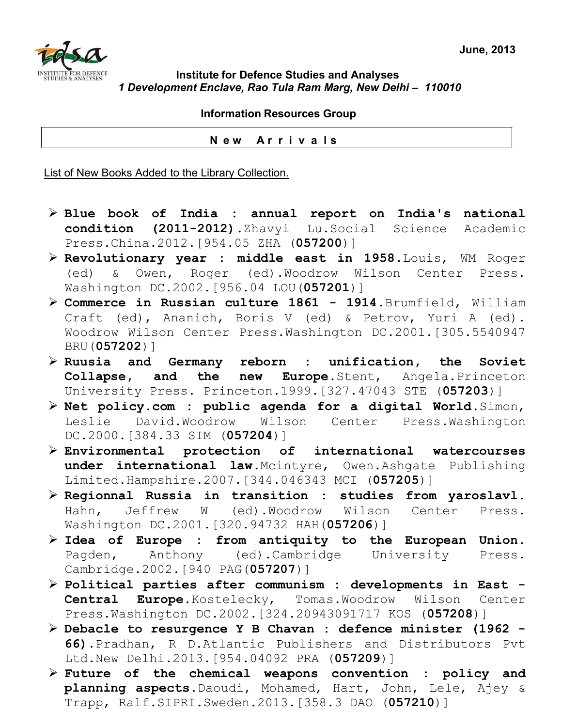

## **Institute for Defence Studies and Analyses**  *1 Development Enclave, Rao Tula Ram Marg, New Delhi – 110010*

 **Information Resources Group** 

 **N e w A r r i v a l s**

List of New Books Added to the Library Collection.

- ¾ **Blue book of India : annual report on India's national condition (2011-2012)**.Zhavyi Lu.Social Science Academic Press.China.2012.[954.05 ZHA (**057200**)]
- ¾ **Revolutionary year : middle east in 1958**.Louis, WM Roger (ed) & Owen, Roger (ed).Woodrow Wilson Center Press. Washington DC.2002.[956.04 LOU(**057201**)]
- ¾ **Commerce in Russian culture 1861 1914**.Brumfield, William Craft (ed), Ananich, Boris V (ed) & Petrov, Yuri A (ed). Woodrow Wilson Center Press.Washington DC.2001.[305.5540947 BRU(**057202**)]
- ¾ **Ruusia and Germany reborn : unification, the Soviet Collapse, and the new Europe**.Stent, Angela.Princeton University Press. Princeton.1999.[327.47043 STE (**057203**)]
- ¾ **Net policy.com : public agenda for a digital World**.Simon, Leslie David.Woodrow Wilson Center Press.Washington DC.2000.[384.33 SIM (**057204**)]
- ¾ **Environmental protection of international watercourses under international law**.Mcintyre, Owen.Ashgate Publishing Limited.Hampshire.2007.[344.046343 MCI (**057205**)]
- ¾ **Regionnal Russia in transition : studies from yaroslavl**. Hahn, Jeffrew W (ed).Woodrow Wilson Center Press. Washington DC.2001.[320.94732 HAH(**057206**)]
- ¾ **Idea of Europe : from antiquity to the European Union**. Pagden, Anthony (ed).Cambridge University Press. Cambridge.2002.[940 PAG(**057207**)]
- ¾ **Political parties after communism : developments in East Central Europe.**Kostelecky, Tomas.Woodrow Wilson Center Press.Washington DC.2002.[324.20943091717 KOS (**057208**)]
- ¾ **Debacle to resurgence Y B Chavan : defence minister (1962 66).**Pradhan, R D.Atlantic Publishers and Distributors Pvt Ltd.New Delhi.2013.[954.04092 PRA (**057209**)]
- ¾ **Future of the chemical weapons convention : policy and planning aspects**.Daoudi, Mohamed, Hart, John, Lele, Ajey & Trapp, Ralf.SIPRI.Sweden.2013.[358.3 DAO (**057210**)]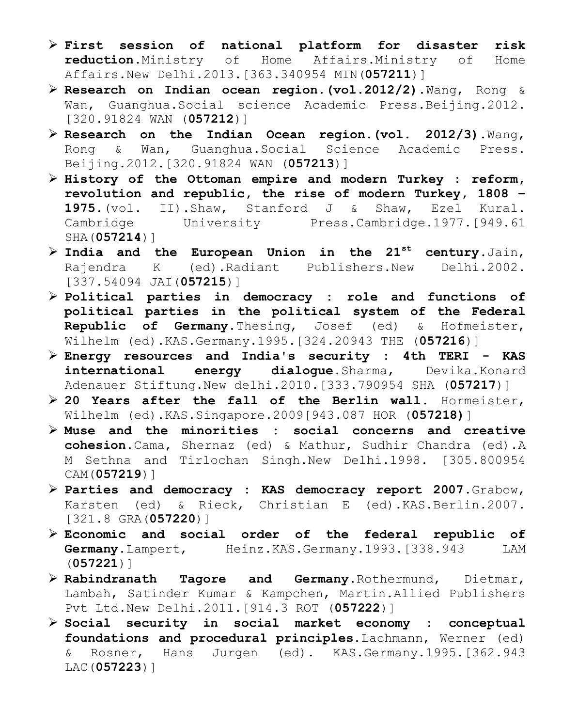- ¾ **First session of national platform for disaster risk reduction**.Ministry of Home Affairs.Ministry of Home Affairs.New Delhi.2013.[363.340954 MIN(**057211**)]
- ¾ **Research on Indian ocean region.(vol.2012/2).**Wang, Rong & Wan, Guanghua.Social science Academic Press.Beijing.2012. [320.91824 WAN (**057212**)]
- ¾ **Research on the Indian Ocean region.(vol. 2012/3).**Wang, Rong & Wan, Guanghua.Social Science Academic Press. Beijing.2012.[320.91824 WAN (**057213**)]
- ¾ **History of the Ottoman empire and modern Turkey : reform, revolution and republic, the rise of modern Turkey, 1808 – 1975.**(vol. II).Shaw, Stanford J & Shaw, Ezel Kural. Cambridge University Press.Cambridge.1977.[949.61 SHA(**057214**)]
- ¾ **India and the European Union in the 21st century**.Jain, Rajendra K (ed).Radiant Publishers.New Delhi.2002. [337.54094 JAI(**057215**)]
- ¾ **Political parties in democracy : role and functions of political parties in the political system of the Federal Republic of Germany.**Thesing, Josef (ed) & Hofmeister, Wilhelm (ed).KAS.Germany.1995.[324.20943 THE (**057216**)]
- ¾ **Energy resources and India's security : 4th TERI KAS international energy dialogue**.Sharma, Devika.Konard Adenauer Stiftung.New delhi.2010.[333.790954 SHA (**057217**)]
- ¾ **20 Years after the fall of the Berlin wall**. Hormeister, Wilhelm (ed).KAS.Singapore.2009[943.087 HOR (**057218)**]
- ¾ **Muse and the minorities : social concerns and creative cohesion.**Cama, Shernaz (ed) & Mathur, Sudhir Chandra (ed).A M Sethna and Tirlochan Singh.New Delhi.1998. [305.800954 CAM(**057219**)]
- ¾ **Parties and democracy : KAS democracy report 2007**.Grabow, Karsten (ed) & Rieck, Christian E (ed).KAS.Berlin.2007. [321.8 GRA(**057220**)]
- ¾ **Economic and social order of the federal republic of**  Germany.Lampert, Heinz.KAS.Germany.1993.[338.943 LAM (**057221**)]
- ¾ **Rabindranath Tagore and Germany**.Rothermund, Dietmar, Lambah, Satinder Kumar & Kampchen, Martin.Allied Publishers Pvt Ltd.New Delhi.2011.[914.3 ROT (**057222**)]
- ¾ **Social security in social market economy : conceptual foundations and procedural principles.**Lachmann, Werner (ed) & Rosner, Hans Jurgen (ed). KAS.Germany.1995.[362.943 LAC(**057223**)]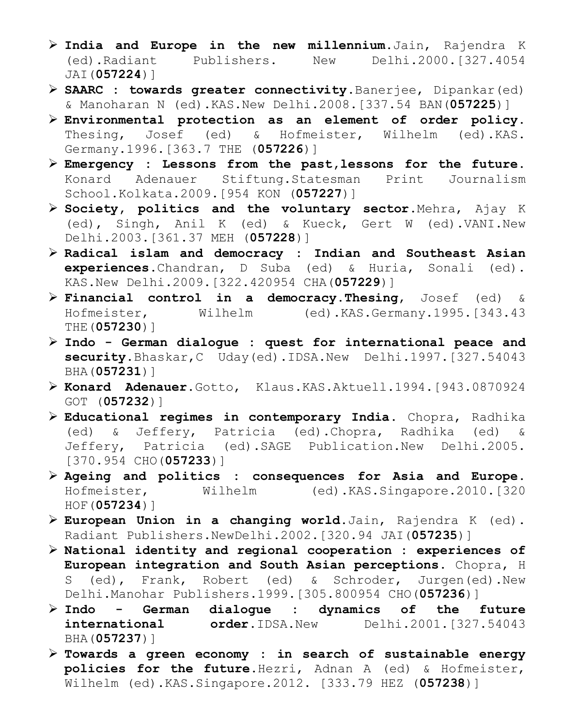- ¾ **India and Europe in the new millennium**.Jain, Rajendra K (ed).Radiant Publishers. New Delhi.2000.[327.4054 JAI(**057224**)]
- ¾ **SAARC : towards greater connectivity**.Banerjee, Dipankar(ed) & Manoharan N (ed).KAS.New Delhi.2008.[337.54 BAN(**057225**)]
- ¾ **Environmental protection as an element of order policy**. Thesing, Josef (ed) & Hofmeister, Wilhelm (ed).KAS. Germany.1996.[363.7 THE (**057226**)]
- ¾ **Emergency : Lessons from the past,lessons for the future.** Konard Adenauer Stiftung.Statesman Print Journalism School.Kolkata.2009.[954 KON (**057227**)]
- ¾ **Society, politics and the voluntary sector**.Mehra, Ajay K (ed), Singh, Anil K (ed) & Kueck, Gert W (ed).VANI.New Delhi.2003.[361.37 MEH (**057228**)]
- ¾ **Radical islam and democracy : Indian and Southeast Asian experiences**.Chandran, D Suba (ed) & Huria, Sonali (ed). KAS.New Delhi.2009.[322.420954 CHA(**057229**)]
- ¾ **Financial control in a democracy.Thesing**, Josef (ed) & Hofmeister, Wilhelm (ed).KAS.Germany.1995.[343.43 THE(**057230**)]
- ¾ **Indo German dialogue : quest for international peace and security.**Bhaskar,C Uday(ed).IDSA.New Delhi.1997.[327.54043 BHA(**057231**)]
- ¾ **Konard Adenauer.**Gotto, Klaus.KAS.Aktuell.1994.[943.0870924 GOT (**057232**)]
- ¾ **Educational regimes in contemporary India**. Chopra, Radhika (ed) & Jeffery, Patricia (ed).Chopra, Radhika (ed) & Jeffery, Patricia (ed).SAGE Publication.New Delhi.2005. [370.954 CHO(**057233**)]
- ¾ **Ageing and politics : consequences for Asia and Europe**. Hofmeister, Wilhelm (ed).KAS.Singapore.2010.[320 HOF(**057234**)]
- ¾ **European Union in a changing world.**Jain, Rajendra K (ed). Radiant Publishers.NewDelhi.2002.[320.94 JAI(**057235**)]
- ¾ **National identity and regional cooperation : experiences of European integration and South Asian perceptions**. Chopra, H S (ed), Frank, Robert (ed) & Schroder, Jurgen(ed).New Delhi.Manohar Publishers.1999.[305.800954 CHO(**057236**)]
- ¾ **Indo German dialogue : dynamics of the future international order**.IDSA.New Delhi.2001.[327.54043 BHA(**057237**)]
- ¾ **Towards a green economy : in search of sustainable energy policies for the future**.Hezri, Adnan A (ed) & Hofmeister, Wilhelm (ed).KAS.Singapore.2012. [333.79 HEZ (**057238**)]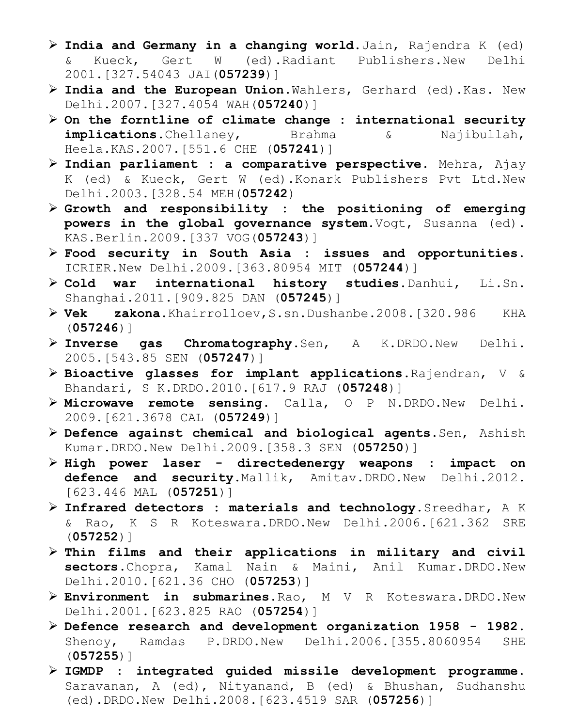- ¾ **India and Germany in a changing world.**Jain, Rajendra K (ed) & Kueck, Gert W (ed).Radiant Publishers.New Delhi 2001.[327.54043 JAI(**057239**)]
- ¾ **India and the European Union**.Wahlers, Gerhard (ed).Kas. New Delhi.2007.[327.4054 WAH(**057240**)]
- ¾ **On the forntline of climate change : international security implications**.Chellaney, Brahma & Najibullah, Heela.KAS.2007.[551.6 CHE (**057241**)]
- ¾ **Indian parliament : a comparative perspective**. Mehra, Ajay K (ed) & Kueck, Gert W (ed).Konark Publishers Pvt Ltd.New Delhi.2003.[328.54 MEH(**057242**)
- ¾ **Growth and responsibility : the positioning of emerging powers in the global governance system.**Vogt, Susanna (ed). KAS.Berlin.2009.[337 VOG(**057243**)]
- ¾ **Food security in South Asia : issues and opportunities**. ICRIER.New Delhi.2009.[363.80954 MIT (**057244**)]
- ¾ **Cold war international history studies.**Danhui, Li.Sn. Shanghai.2011.[909.825 DAN (**057245**)]
- ¾ **Vek zakona**.Khairrolloev,S.sn.Dushanbe.2008.[320.986 KHA (**057246**)]
- ¾ **Inverse gas Chromatography**.Sen, A K.DRDO.New Delhi. 2005.[543.85 SEN (**057247**)]
- ¾ **Bioactive glasses for implant applications**.Rajendran, V & Bhandari, S K.DRDO.2010.[617.9 RAJ (**057248**)]
- ¾ **Microwave remote sensing**. Calla, O P N.DRDO.New Delhi. 2009.[621.3678 CAL (**057249**)]
- ¾ **Defence against chemical and biological agents**.Sen, Ashish Kumar.DRDO.New Delhi.2009.[358.3 SEN (**057250**)]
- ¾ **High power laser directedenergy weapons : impact on defence and security**.Mallik, Amitav.DRDO.New Delhi.2012. [623.446 MAL (**057251**)]
- ¾ **Infrared detectors : materials and technology.**Sreedhar, A K & Rao, K S R Koteswara.DRDO.New Delhi.2006.[621.362 SRE (**057252**)]
- ¾ **Thin films and their applications in military and civil sectors**.Chopra, Kamal Nain & Maini, Anil Kumar.DRDO.New Delhi.2010.[621.36 CHO (**057253**)]
- ¾ **Environment in submarines.**Rao, M V R Koteswara.DRDO.New Delhi.2001.[623.825 RAO (**057254**)]
- ¾ **Defence research and development organization 1958 1982**. Shenoy, Ramdas P.DRDO.New Delhi.2006.[355.8060954 SHE (**057255**)]
- ¾ **IGMDP : integrated guided missile development programme.**  Saravanan, A (ed), Nityanand, B (ed) & Bhushan, Sudhanshu (ed).DRDO.New Delhi.2008.[623.4519 SAR (**057256**)]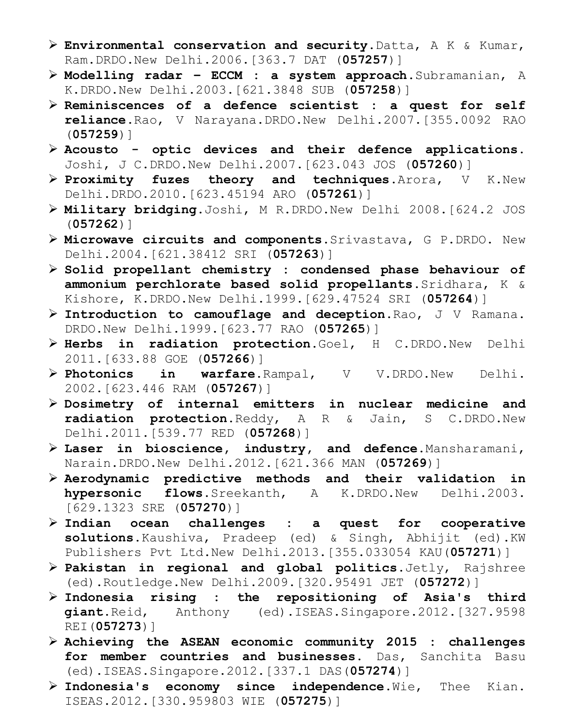- ¾ **Environmental conservation and security**.Datta, A K & Kumar, Ram.DRDO.New Delhi.2006.[363.7 DAT (**057257**)]
- ¾ **Modelling radar ECCM : a system approach**.Subramanian, A K.DRDO.New Delhi.2003.[621.3848 SUB (**057258**)]
- ¾ **Reminiscences of a defence scientist : a quest for self reliance**.Rao, V Narayana.DRDO.New Delhi.2007.[355.0092 RAO (**057259**)]
- ¾ **Acousto optic devices and their defence applications**. Joshi, J C.DRDO.New Delhi.2007.[623.043 JOS (**057260**)]
- ¾ **Proximity fuzes theory and techniques**.Arora, V K.New Delhi.DRDO.2010.[623.45194 ARO (**057261**)]
- ¾ **Military bridging**.Joshi, M R.DRDO.New Delhi 2008.[624.2 JOS (**057262**)]
- ¾ **Microwave circuits and components**.Srivastava, G P.DRDO. New Delhi.2004.[621.38412 SRI (**057263**)]
- ¾ **Solid propellant chemistry : condensed phase behaviour of ammonium perchlorate based solid propellants**.Sridhara, K & Kishore, K.DRDO.New Delhi.1999.[629.47524 SRI (**057264**)]
- ¾ **Introduction to camouflage and deception**.Rao, J V Ramana. DRDO.New Delhi.1999.[623.77 RAO (**057265**)]
- ¾ **Herbs in radiation protection**.Goel, H C.DRDO.New Delhi 2011.[633.88 GOE (**057266**)]
- ¾ **Photonics in warfare**.Rampal, V V.DRDO.New Delhi. 2002.[623.446 RAM (**057267**)]
- ¾ **Dosimetry of internal emitters in nuclear medicine and radiation protection.**Reddy, A R & Jain, S C.DRDO.New Delhi.2011.[539.77 RED (**057268**)]
- ¾ **Laser in bioscience, industry, and defence.**Mansharamani, Narain.DRDO.New Delhi.2012.[621.366 MAN (**057269**)]
- ¾ **Aerodynamic predictive methods and their validation in hypersonic flows**.Sreekanth, A K.DRDO.New Delhi.2003. [629.1323 SRE (**057270**)]
- ¾ **Indian ocean challenges : a quest for cooperative solutions.**Kaushiva, Pradeep (ed) & Singh, Abhijit (ed).KW Publishers Pvt Ltd.New Delhi.2013.[355.033054 KAU(**057271**)]
- ¾ **Pakistan in regional and global politics**.Jetly, Rajshree (ed).Routledge.New Delhi.2009.[320.95491 JET (**057272**)]
- ¾ **Indonesia rising : the repositioning of Asia's third giant.**Reid, Anthony (ed).ISEAS.Singapore.2012.[327.9598 REI(**057273**)]
- ¾ **Achieving the ASEAN economic community 2015 : challenges for member countries and businesses**. Das, Sanchita Basu (ed).ISEAS.Singapore.2012.[337.1 DAS(**057274**)]
- ¾ **Indonesia's economy since independence**.Wie, Thee Kian. ISEAS.2012.[330.959803 WIE (**057275**)]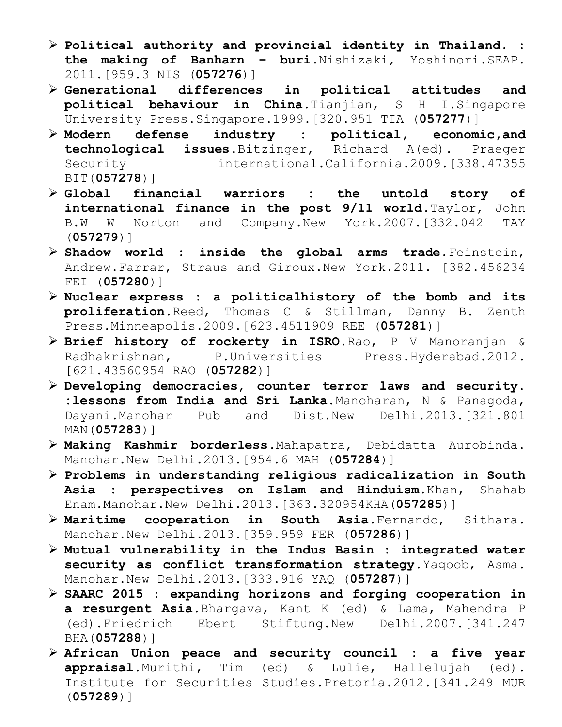- ¾ **Political authority and provincial identity in Thailand. : the making of Banharn – buri**.Nishizaki, Yoshinori.SEAP. 2011.[959.3 NIS (**057276**)]
- ¾ **Generational differences in political attitudes and political behaviour in China.**Tianjian, S H I.Singapore University Press.Singapore.1999.[320.951 TIA (**057277**)]
- ¾ **Modern defense industry : political, economic,and technological issues**.Bitzinger, Richard A(ed). Praeger Security international.California.2009.[338.47355 BIT(**057278**)]
- ¾ **Global financial warriors : the untold story of international finance in the post 9/11 world**.Taylor, John B.W W Norton and Company.New York.2007.[332.042 TAY (**057279**)]
- ¾ **Shadow world : inside the global arms trade.**Feinstein, Andrew.Farrar, Straus and Giroux.New York.2011. [382.456234 FEI (**057280**)]
- ¾ **Nuclear express : a politicalhistory of the bomb and its proliferation.**Reed, Thomas C & Stillman, Danny B. Zenth Press.Minneapolis.2009.[623.4511909 REE (**057281**)]
- ¾ **Brief history of rockerty in ISRO**.Rao, P V Manoranjan & Radhakrishnan, P.Universities Press.Hyderabad.2012. [621.43560954 RAO (**057282**)]
- ¾ **Developing democracies, counter terror laws and security. :lessons from India and Sri Lanka.**Manoharan, N & Panagoda, Dayani.Manohar Pub and Dist.New Delhi.2013.[321.801 MAN(**057283**)]
- ¾ **Making Kashmir borderless**.Mahapatra, Debidatta Aurobinda. Manohar.New Delhi.2013.[954.6 MAH (**057284**)]
- ¾ **Problems in understanding religious radicalization in South Asia : perspectives on Islam and Hinduism**.Khan, Shahab Enam.Manohar.New Delhi.2013.[363.320954KHA(**057285**)]
- ¾ **Maritime cooperation in South Asia**.Fernando, Sithara. Manohar.New Delhi.2013.[359.959 FER (**057286**)]
- ¾ **Mutual vulnerability in the Indus Basin : integrated water security as conflict transformation strategy.**Yaqoob, Asma. Manohar.New Delhi.2013.[333.916 YAQ (**057287**)]
- ¾ **SAARC 2015 : expanding horizons and forging cooperation in a resurgent Asia.**Bhargava, Kant K (ed) & Lama, Mahendra P (ed).Friedrich Ebert Stiftung.New Delhi.2007.[341.247 BHA(**057288**)]
- ¾ **African Union peace and security council : a five year appraisal.**Murithi, Tim (ed) & Lulie, Hallelujah (ed). Institute for Securities Studies.Pretoria.2012.[341.249 MUR (**057289**)]